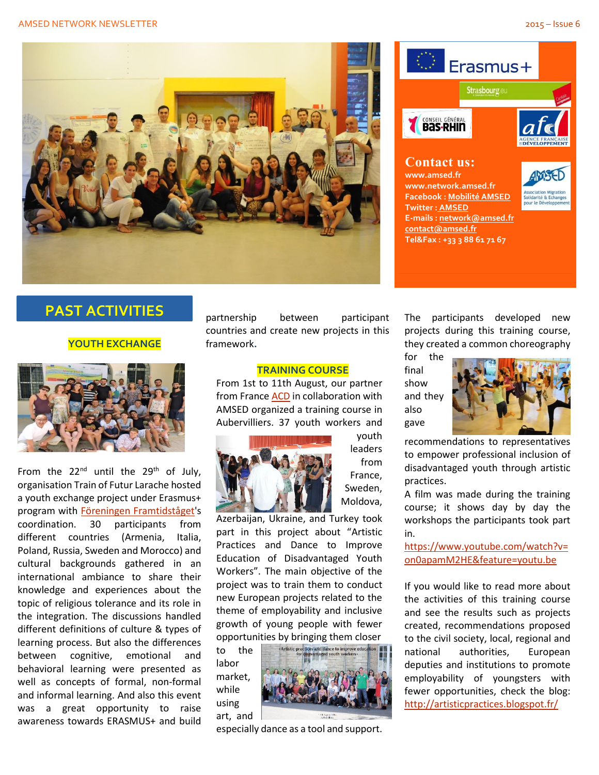#### AMSED NETWORK NEWSLETTER 2015 – Issue 6





# **PAST ACTIVITIES**

## **YOUTH EXCHANGE**



From the  $22^{nd}$  until the  $29^{th}$  of July, organisation Train of Futur Larache hosted a youth exchange project under Erasmus+ program with Föreningen [Framtidståget'](http://framtidstaget.org/)s coordination. 30 participants from different countries (Armenia, Italia, Poland, Russia, Sweden and Morocco) and cultural backgrounds gathered in an international ambiance to share their knowledge and experiences about the topic of religious tolerance and its role in the integration. The discussions handled different definitions of culture & types of learning process. But also the differences between cognitive, emotional and behavioral learning were presented as well as concepts of formal, non-formal and informal learning. And also this event was a great opportunity to raise awareness towards ERASMUS+ and build

partnership between participant countries and create new projects in this framework**.**

### **TRAINING COURSE**

From 1st to 11th August, our partner from Franc[e ACD](http://www.artistesdiversite.fr/?cat=4) in collaboration with AMSED organized a training course in Aubervilliers. 37 youth workers and



youth leaders from France, Sweden, Moldova,

Azerbaijan, Ukraine, and Turkey took part in this project about "Artistic Practices and Dance to Improve Education of Disadvantaged Youth Workers". The main objective of the project was to train them to conduct new European projects related to the theme of employability and inclusive growth of young people with fewer opportunities by bringing them closer

to the labor market, while using art, and



especially dance as a tool and support.

The participants developed new projects during this training course, they created a common choreography

for the final show and they also gave



recommendations to representatives to empower professional inclusion of disadvantaged youth through artistic practices.

A film was made during the training course; it shows day by day the workshops the participants took part in.

[https://www.youtube.com/watch?v=](https://www.youtube.com/watch?v=on0apamM2HE&feature=youtu.be) [on0apamM2HE&feature=youtu.be](https://www.youtube.com/watch?v=on0apamM2HE&feature=youtu.be)

If you would like to read more about the activities of this training course and see the results such as projects created, recommendations proposed to the civil society, local, regional and national authorities, European deputies and institutions to promote employability of youngsters with fewer opportunities, check the blog: <http://artisticpractices.blogspot.fr/>